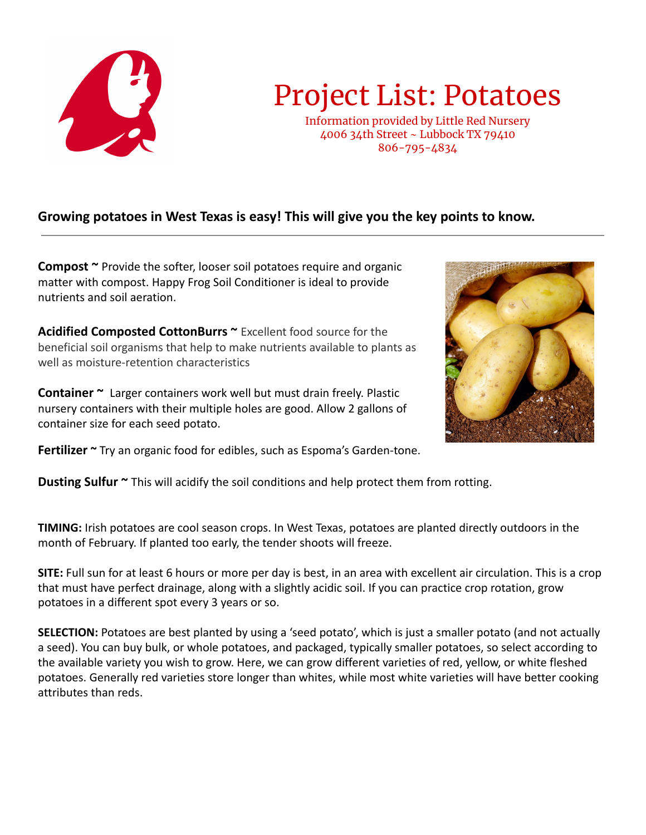

## Project List: Potatoes

Information provided by Little Red Nursery 4006 34th Street ~ Lubbock TX 79410 806-795-4834

## **Growing potatoes in West Texas is easy! This will give you the key points to know.**

**Compost ~** Provide the softer, looser soil potatoes require and organic matter with compost. Happy Frog Soil Conditioner is ideal to provide nutrients and soil aeration.

**Acidified Composted CottonBurrs ~** Excellent food source for the beneficial soil organisms that help to make nutrients available to plants as well as moisture-retention characteristics

**Container ~** Larger containers work well but must drain freely. Plastic nursery containers with their multiple holes are good. Allow 2 gallons of container size for each seed potato.



**Fertilizer ~** Try an organic food for edibles, such as Espoma's Garden-tone.

**Dusting Sulfur ~** This will acidify the soil conditions and help protect them from rotting.

**TIMING:** Irish potatoes are cool season crops. In West Texas, potatoes are planted directly outdoors in the month of February. If planted too early, the tender shoots will freeze.

**SITE:** Full sun for at least 6 hours or more per day is best, in an area with excellent air circulation. This is a crop that must have perfect drainage, along with a slightly acidic soil. If you can practice crop rotation, grow potatoes in a different spot every 3 years or so.

**SELECTION:** Potatoes are best planted by using a 'seed potato', which is just a smaller potato (and not actually a seed). You can buy bulk, or whole potatoes, and packaged, typically smaller potatoes, so select according to the available variety you wish to grow. Here, we can grow different varieties of red, yellow, or white fleshed potatoes. Generally red varieties store longer than whites, while most white varieties will have better cooking attributes than reds.